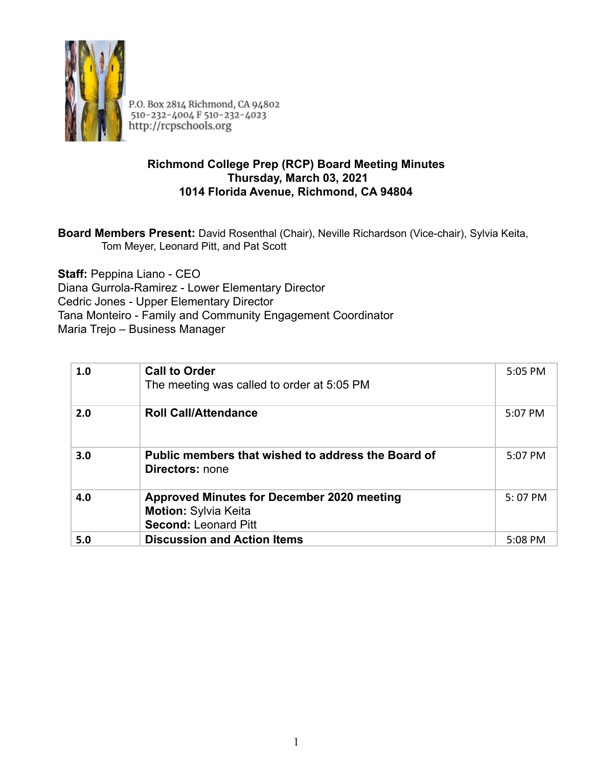

P.O. Box 2814 Richmond, CA 94802<br>510-232-4004 F 510-232-4023 http://rcpschools.org

### **Richmond College Prep (RCP) Board Meeting Minutes Thursday, March 03, 2021 1014 Florida Avenue, Richmond, CA 94804**

**Board Members Present:** David Rosenthal (Chair), Neville Richardson (Vice-chair), Sylvia Keita, Tom Meyer, Leonard Pitt, and Pat Scott

**Staff:** Peppina Liano - CEO Diana Gurrola-Ramirez - Lower Elementary Director Cedric Jones - Upper Elementary Director Tana Monteiro - Family and Community Engagement Coordinator Maria Trejo – Business Manager

| 1.0 | <b>Call to Order</b><br>The meeting was called to order at 5:05 PM                                              | 5:05 PM   |
|-----|-----------------------------------------------------------------------------------------------------------------|-----------|
| 2.0 | <b>Roll Call/Attendance</b>                                                                                     | 5:07 PM   |
| 3.0 | Public members that wished to address the Board of<br><b>Directors:</b> none                                    | $5:07$ PM |
| 4.0 | <b>Approved Minutes for December 2020 meeting</b><br><b>Motion: Sylvia Keita</b><br><b>Second: Leonard Pitt</b> | $5:07$ PM |
| 5.0 | <b>Discussion and Action Items</b>                                                                              | 5:08 PM   |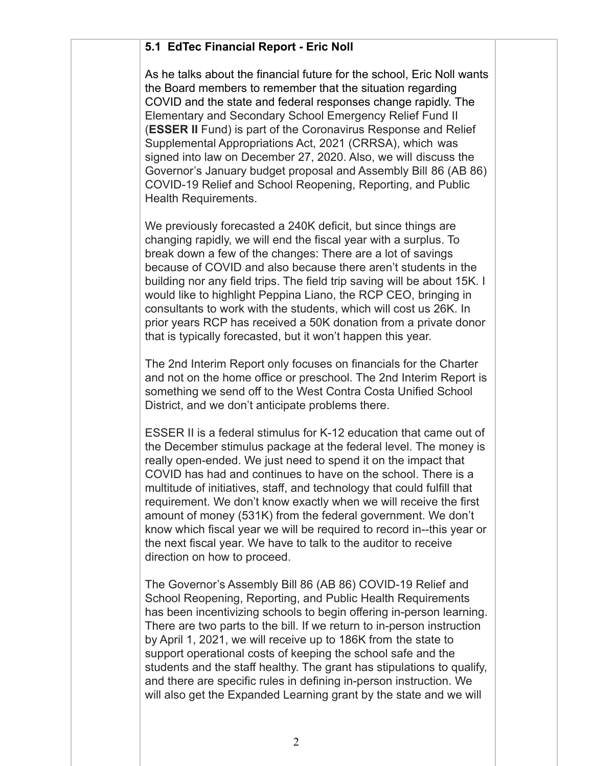### **5.1 EdTec Financial Report - Eric Noll**

As he talks about the financial future for the school, Eric Noll wants the Board members to remember that the situation regarding COVID and the state and federal responses change rapidly. The Elementary and Secondary School Emergency Relief Fund II (**ESSER II** Fund) is part of the Coronavirus Response and Relief Supplemental Appropriations Act, 2021 (CRRSA), which was signed into law on December 27, 2020. Also, we will discuss the Governor's January budget proposal and Assembly Bill 86 (AB 86) COVID-19 Relief and School Reopening, Reporting, and Public Health Requirements.

We previously forecasted a 240K deficit, but since things are changing rapidly, we will end the fiscal year with a surplus. To break down a few of the changes: There are a lot of savings because of COVID and also because there aren't students in the building nor any field trips. The field trip saving will be about 15K. I would like to highlight Peppina Liano, the RCP CEO, bringing in consultants to work with the students, which will cost us 26K. In prior years RCP has received a 50K donation from a private donor that is typically forecasted, but it won't happen this year.

The 2nd Interim Report only focuses on financials for the Charter and not on the home office or preschool. The 2nd Interim Report is something we send off to the West Contra Costa Unified School District, and we don't anticipate problems there.

ESSER II is a federal stimulus for K-12 education that came out of the December stimulus package at the federal level. The money is really open-ended. We just need to spend it on the impact that COVID has had and continues to have on the school. There is a multitude of initiatives, staff, and technology that could fulfill that requirement. We don't know exactly when we will receive the first amount of money (531K) from the federal government. We don't know which fiscal year we will be required to record in--this year or the next fiscal year. We have to talk to the auditor to receive direction on how to proceed.

The Governor's Assembly Bill 86 (AB 86) COVID-19 Relief and School Reopening, Reporting, and Public Health Requirements has been incentivizing schools to begin offering in-person learning. There are two parts to the bill. If we return to in-person instruction by April 1, 2021, we will receive up to 186K from the state to support operational costs of keeping the school safe and the students and the staff healthy. The grant has stipulations to qualify, and there are specific rules in defining in-person instruction. We will also get the Expanded Learning grant by the state and we will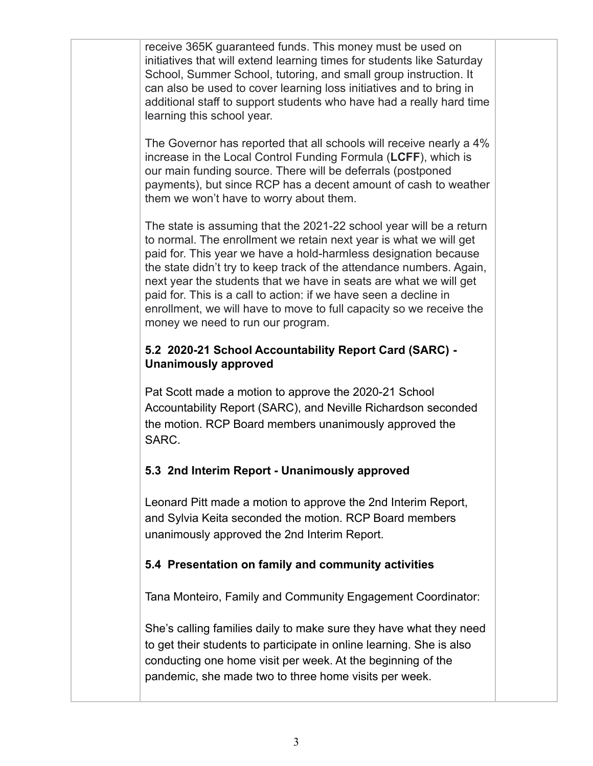receive 365K guaranteed funds. This money must be used on initiatives that will extend learning times for students like Saturday School, Summer School, tutoring, and small group instruction. It can also be used to cover learning loss initiatives and to bring in additional staff to support students who have had a really hard time learning this school year.

The Governor has reported that all schools will receive nearly a 4% increase in the Local Control Funding Formula (**LCFF**), which is our main funding source. There will be deferrals (postponed payments), but since RCP has a decent amount of cash to weather them we won't have to worry about them.

The state is assuming that the 2021-22 school year will be a return to normal. The enrollment we retain next year is what we will get paid for. This year we have a hold-harmless designation because the state didn't try to keep track of the attendance numbers. Again, next year the students that we have in seats are what we will get paid for. This is a call to action: if we have seen a decline in enrollment, we will have to move to full capacity so we receive the money we need to run our program.

## **5.2 2020-21 School Accountability Report Card (SARC) - Unanimously approved**

Pat Scott made a motion to approve the 2020-21 School Accountability Report (SARC), and Neville Richardson seconded the motion. RCP Board members unanimously approved the SARC.

# **5.3 2nd Interim Report - Unanimously approved**

Leonard Pitt made a motion to approve the 2nd Interim Report, and Sylvia Keita seconded the motion. RCP Board members unanimously approved the 2nd Interim Report.

## **5.4 Presentation on family and community activities**

Tana Monteiro, Family and Community Engagement Coordinator:

She's calling families daily to make sure they have what they need to get their students to participate in online learning. She is also conducting one home visit per week. At the beginning of the pandemic, she made two to three home visits per week.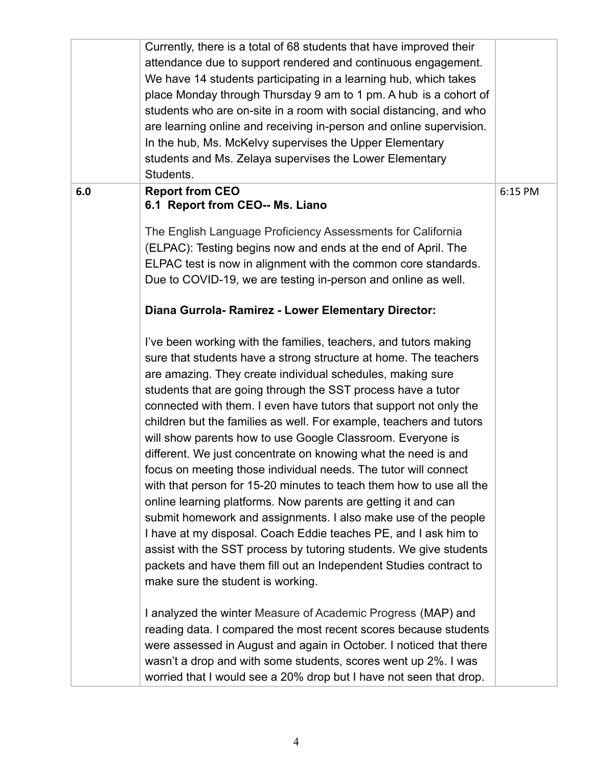|     | Currently, there is a total of 68 students that have improved their<br>attendance due to support rendered and continuous engagement.<br>We have 14 students participating in a learning hub, which takes<br>place Monday through Thursday 9 am to 1 pm. A hub is a cohort of<br>students who are on-site in a room with social distancing, and who<br>are learning online and receiving in-person and online supervision.<br>In the hub, Ms. McKelvy supervises the Upper Elementary<br>students and Ms. Zelaya supervises the Lower Elementary<br>Students.                                                                                                                                                                                                                                                                                                                                                                                                                                                                                                                                                                                                                                                                                                                                                                                                                                                                                                                                                                         |         |
|-----|--------------------------------------------------------------------------------------------------------------------------------------------------------------------------------------------------------------------------------------------------------------------------------------------------------------------------------------------------------------------------------------------------------------------------------------------------------------------------------------------------------------------------------------------------------------------------------------------------------------------------------------------------------------------------------------------------------------------------------------------------------------------------------------------------------------------------------------------------------------------------------------------------------------------------------------------------------------------------------------------------------------------------------------------------------------------------------------------------------------------------------------------------------------------------------------------------------------------------------------------------------------------------------------------------------------------------------------------------------------------------------------------------------------------------------------------------------------------------------------------------------------------------------------|---------|
| 6.0 | <b>Report from CEO</b><br>6.1 Report from CEO-- Ms. Liano<br>The English Language Proficiency Assessments for California<br>(ELPAC): Testing begins now and ends at the end of April. The<br>ELPAC test is now in alignment with the common core standards.<br>Due to COVID-19, we are testing in-person and online as well.<br>Diana Gurrola-Ramirez - Lower Elementary Director:<br>I've been working with the families, teachers, and tutors making<br>sure that students have a strong structure at home. The teachers<br>are amazing. They create individual schedules, making sure<br>students that are going through the SST process have a tutor<br>connected with them. I even have tutors that support not only the<br>children but the families as well. For example, teachers and tutors<br>will show parents how to use Google Classroom. Everyone is<br>different. We just concentrate on knowing what the need is and<br>focus on meeting those individual needs. The tutor will connect<br>with that person for 15-20 minutes to teach them how to use all the<br>online learning platforms. Now parents are getting it and can<br>submit homework and assignments. I also make use of the people<br>I have at my disposal. Coach Eddie teaches PE, and I ask him to<br>assist with the SST process by tutoring students. We give students<br>packets and have them fill out an Independent Studies contract to<br>make sure the student is working.<br>I analyzed the winter Measure of Academic Progress (MAP) and | 6:15 PM |
|     | reading data. I compared the most recent scores because students<br>were assessed in August and again in October. I noticed that there<br>wasn't a drop and with some students, scores went up 2%. I was<br>worried that I would see a 20% drop but I have not seen that drop.                                                                                                                                                                                                                                                                                                                                                                                                                                                                                                                                                                                                                                                                                                                                                                                                                                                                                                                                                                                                                                                                                                                                                                                                                                                       |         |